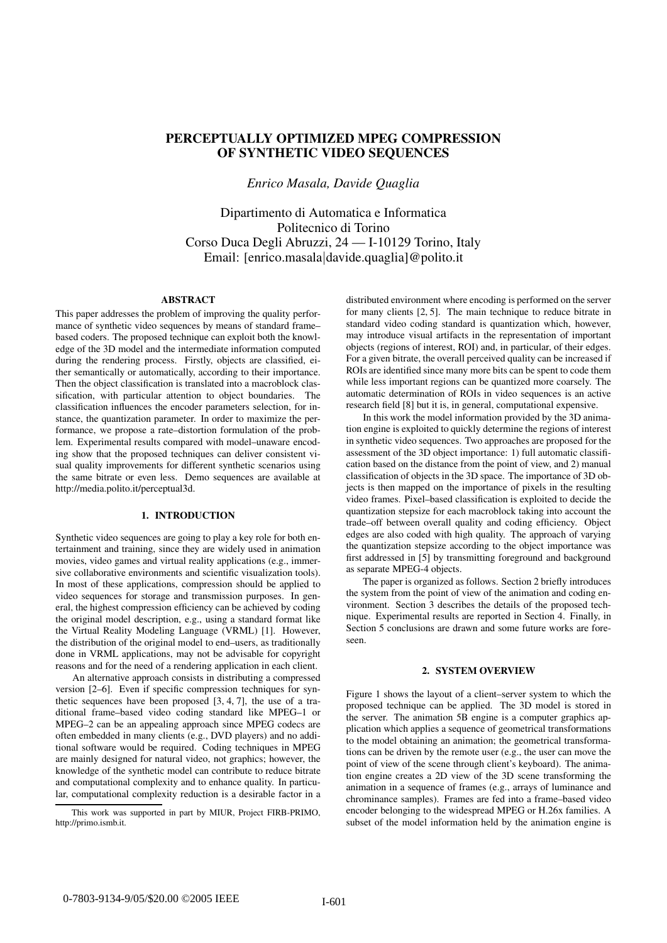# PERCEPTUALLY OPTIMIZED MPEG COMPRESSION OF SYNTHETIC VIDEO SEQUENCES

*Enrico Masala, Davide Quaglia*

Dipartimento di Automatica e Informatica Politecnico di Torino Corso Duca Degli Abruzzi, 24 — I-10129 Torino, Italy Email: [enrico.masala|davide.quaglia]@polito.it

## ABSTRACT

This paper addresses the problem of improving the quality performance of synthetic video sequences by means of standard frame– based coders. The proposed technique can exploit both the knowledge of the 3D model and the intermediate information computed during the rendering process. Firstly, objects are classified, either semantically or automatically, according to their importance. Then the object classification is translated into a macroblock classification, with particular attention to object boundaries. The classification influences the encoder parameters selection, for instance, the quantization parameter. In order to maximize the performance, we propose a rate–distortion formulation of the problem. Experimental results compared with model–unaware encoding show that the proposed techniques can deliver consistent visual quality improvements for different synthetic scenarios using the same bitrate or even less. Demo sequences are available at http://media.polito.it/perceptual3d.

## 1. INTRODUCTION

Synthetic video sequences are going to play a key role for both entertainment and training, since they are widely used in animation movies, video games and virtual reality applications (e.g., immersive collaborative environments and scientific visualization tools). In most of these applications, compression should be applied to video sequences for storage and transmission purposes. In general, the highest compression efficiency can be achieved by coding the original model description, e.g., using a standard format like the Virtual Reality Modeling Language (VRML) [1]. However, the distribution of the original model to end–users, as traditionally done in VRML applications, may not be advisable for copyright reasons and for the need of a rendering application in each client.

An alternative approach consists in distributing a compressed version [2–6]. Even if specific compression techniques for synthetic sequences have been proposed [3, 4, 7], the use of a traditional frame–based video coding standard like MPEG–1 or MPEG–2 can be an appealing approach since MPEG codecs are often embedded in many clients (e.g., DVD players) and no additional software would be required. Coding techniques in MPEG are mainly designed for natural video, not graphics; however, the knowledge of the synthetic model can contribute to reduce bitrate and computational complexity and to enhance quality. In particular, computational complexity reduction is a desirable factor in a

This work was supported in part by MIUR, Project FIRB-PRIMO, http://primo.ismb.it.

distributed environment where encoding is performed on the server for many clients [2, 5]. The main technique to reduce bitrate in standard video coding standard is quantization which, however, may introduce visual artifacts in the representation of important objects (regions of interest, ROI) and, in particular, of their edges. For a given bitrate, the overall perceived quality can be increased if ROIs are identified since many more bits can be spent to code them while less important regions can be quantized more coarsely. The automatic determination of ROIs in video sequences is an active research field [8] but it is, in general, computational expensive.

In this work the model information provided by the 3D animation engine is exploited to quickly determine the regions of interest in synthetic video sequences. Two approaches are proposed for the assessment of the 3D object importance: 1) full automatic classification based on the distance from the point of view, and 2) manual classification of objects in the 3D space. The importance of 3D objects is then mapped on the importance of pixels in the resulting video frames. Pixel–based classification is exploited to decide the quantization stepsize for each macroblock taking into account the trade–off between overall quality and coding efficiency. Object edges are also coded with high quality. The approach of varying the quantization stepsize according to the object importance was first addressed in [5] by transmitting foreground and background as separate MPEG-4 objects.

The paper is organized as follows. Section 2 briefly introduces the system from the point of view of the animation and coding environment. Section 3 describes the details of the proposed technique. Experimental results are reported in Section 4. Finally, in Section 5 conclusions are drawn and some future works are foreseen.

## 2. SYSTEM OVERVIEW

Figure 1 shows the layout of a client–server system to which the proposed technique can be applied. The 3D model is stored in the server. The animation 5B engine is a computer graphics application which applies a sequence of geometrical transformations to the model obtaining an animation; the geometrical transformations can be driven by the remote user (e.g., the user can move the point of view of the scene through client's keyboard). The animation engine creates a 2D view of the 3D scene transforming the animation in a sequence of frames (e.g., arrays of luminance and chrominance samples). Frames are fed into a frame–based video encoder belonging to the widespread MPEG or H.26x families. A subset of the model information held by the animation engine is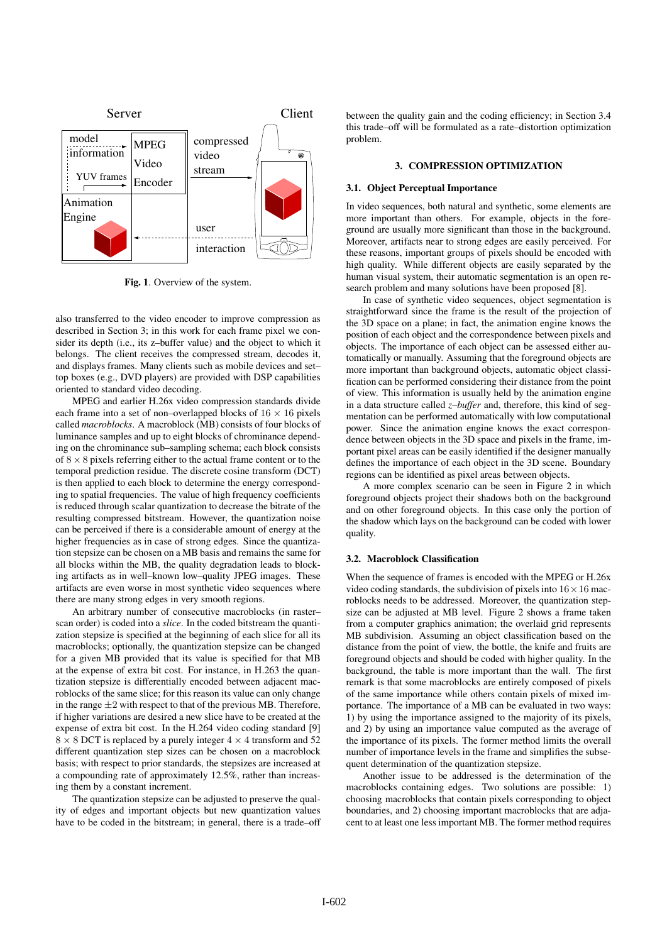

Fig. 1. Overview of the system.

also transferred to the video encoder to improve compression as described in Section 3; in this work for each frame pixel we consider its depth (i.e., its z–buffer value) and the object to which it belongs. The client receives the compressed stream, decodes it, and displays frames. Many clients such as mobile devices and set– top boxes (e.g., DVD players) are provided with DSP capabilities oriented to standard video decoding.

MPEG and earlier H.26x video compression standards divide each frame into a set of non–overlapped blocks of  $16 \times 16$  pixels called *macroblocks*. A macroblock (MB) consists of four blocks of luminance samples and up to eight blocks of chrominance depending on the chrominance sub–sampling schema; each block consists of  $8 \times 8$  pixels referring either to the actual frame content or to the temporal prediction residue. The discrete cosine transform (DCT) is then applied to each block to determine the energy corresponding to spatial frequencies. The value of high frequency coefficients is reduced through scalar quantization to decrease the bitrate of the resulting compressed bitstream. However, the quantization noise can be perceived if there is a considerable amount of energy at the higher frequencies as in case of strong edges. Since the quantization stepsize can be chosen on a MB basis and remains the same for all blocks within the MB, the quality degradation leads to blocking artifacts as in well–known low–quality JPEG images. These artifacts are even worse in most synthetic video sequences where there are many strong edges in very smooth regions.

An arbitrary number of consecutive macroblocks (in raster– scan order) is coded into a *slice*. In the coded bitstream the quantization stepsize is specified at the beginning of each slice for all its macroblocks; optionally, the quantization stepsize can be changed for a given MB provided that its value is specified for that MB at the expense of extra bit cost. For instance, in H.263 the quantization stepsize is differentially encoded between adjacent macroblocks of the same slice; for this reason its value can only change in the range  $\pm 2$  with respect to that of the previous MB. Therefore, if higher variations are desired a new slice have to be created at the expense of extra bit cost. In the H.264 video coding standard [9]  $8 \times 8$  DCT is replaced by a purely integer  $4 \times 4$  transform and 52 different quantization step sizes can be chosen on a macroblock basis; with respect to prior standards, the stepsizes are increased at a compounding rate of approximately 12.5%, rather than increasing them by a constant increment.

The quantization stepsize can be adjusted to preserve the quality of edges and important objects but new quantization values have to be coded in the bitstream; in general, there is a trade–off between the quality gain and the coding efficiency; in Section 3.4 this trade–off will be formulated as a rate–distortion optimization problem.

## 3. COMPRESSION OPTIMIZATION

## 3.1. Object Perceptual Importance

In video sequences, both natural and synthetic, some elements are more important than others. For example, objects in the foreground are usually more significant than those in the background. Moreover, artifacts near to strong edges are easily perceived. For these reasons, important groups of pixels should be encoded with high quality. While different objects are easily separated by the human visual system, their automatic segmentation is an open research problem and many solutions have been proposed [8].

In case of synthetic video sequences, object segmentation is straightforward since the frame is the result of the projection of the 3D space on a plane; in fact, the animation engine knows the position of each object and the correspondence between pixels and objects. The importance of each object can be assessed either automatically or manually. Assuming that the foreground objects are more important than background objects, automatic object classification can be performed considering their distance from the point of view. This information is usually held by the animation engine in a data structure called *z–buffer* and, therefore, this kind of segmentation can be performed automatically with low computational power. Since the animation engine knows the exact correspondence between objects in the 3D space and pixels in the frame, important pixel areas can be easily identified if the designer manually defines the importance of each object in the 3D scene. Boundary regions can be identified as pixel areas between objects.

A more complex scenario can be seen in Figure 2 in which foreground objects project their shadows both on the background and on other foreground objects. In this case only the portion of the shadow which lays on the background can be coded with lower quality.

#### 3.2. Macroblock Classification

When the sequence of frames is encoded with the MPEG or H.26x video coding standards, the subdivision of pixels into  $16 \times 16$  macroblocks needs to be addressed. Moreover, the quantization stepsize can be adjusted at MB level. Figure 2 shows a frame taken from a computer graphics animation; the overlaid grid represents MB subdivision. Assuming an object classification based on the distance from the point of view, the bottle, the knife and fruits are foreground objects and should be coded with higher quality. In the background, the table is more important than the wall. The first remark is that some macroblocks are entirely composed of pixels of the same importance while others contain pixels of mixed importance. The importance of a MB can be evaluated in two ways: 1) by using the importance assigned to the majority of its pixels, and 2) by using an importance value computed as the average of the importance of its pixels. The former method limits the overall number of importance levels in the frame and simplifies the subsequent determination of the quantization stepsize.

Another issue to be addressed is the determination of the macroblocks containing edges. Two solutions are possible: 1) choosing macroblocks that contain pixels corresponding to object boundaries, and 2) choosing important macroblocks that are adjacent to at least one less important MB. The former method requires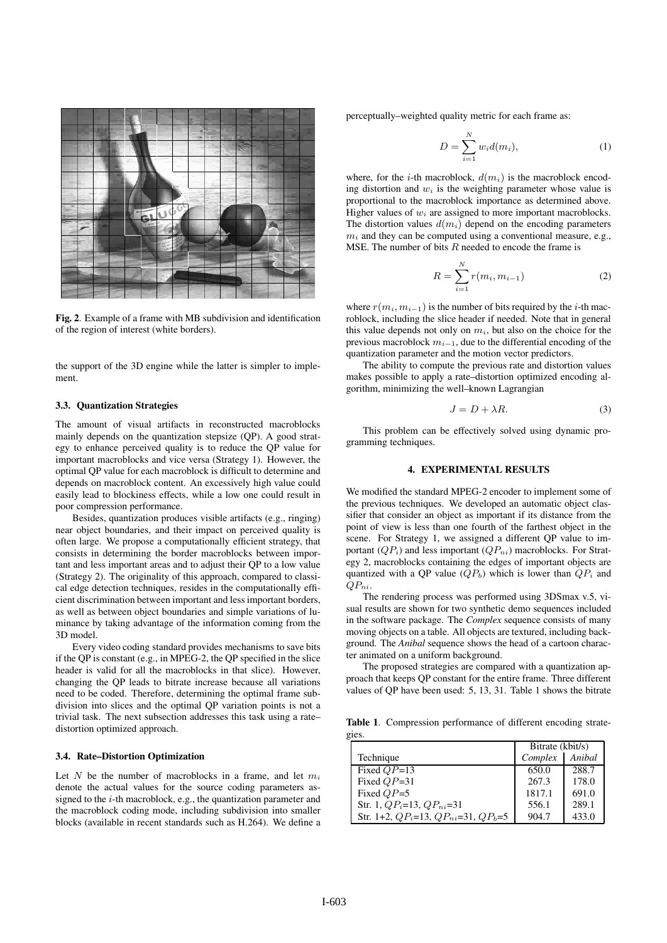

Fig. 2. Example of a frame with MB subdivision and identification of the region of interest (white borders).

the support of the 3D engine while the latter is simpler to implement.

#### 3.3. Quantization Strategies

The amount of visual artifacts in reconstructed macroblocks mainly depends on the quantization stepsize (QP). A good strategy to enhance perceived quality is to reduce the QP value for important macroblocks and vice versa (Strategy 1). However, the optimal QP value for each macroblock is difficult to determine and depends on macroblock content. An excessively high value could easily lead to blockiness effects, while a low one could result in poor compression performance.

Besides, quantization produces visible artifacts (e.g., ringing) near object boundaries, and their impact on perceived quality is often large. We propose a computationally efficient strategy, that consists in determining the border macroblocks between important and less important areas and to adjust their QP to a low value (Strategy 2). The originality of this approach, compared to classical edge detection techniques, resides in the computationally efficient discrimination between important and lessimportant borders, as well as between object boundaries and simple variations of luminance by taking advantage of the information coming from the 3D model.

Every video coding standard provides mechanisms to save bits if the QP is constant (e.g., in MPEG-2, the QP specified in the slice header is valid for all the macroblocks in that slice). However, changing the QP leads to bitrate increase because all variations need to be coded. Therefore, determining the optimal frame subdivision into slices and the optimal QP variation points is not a trivial task. The next subsection addresses this task using a rate– distortion optimized approach.

### 3.4. Rate–Distortion Optimization

Let  $N$  be the number of macroblocks in a frame, and let  $m_i$ denote the actual values for the source coding parameters assigned to the i-th macroblock, e.g., the quantization parameter and the macroblock coding mode, including subdivision into smaller blocks (available in recent standards such as H.264). We define a perceptually–weighted quality metric for each frame as:

$$
D = \sum_{i=1}^{N} w_i d(m_i),\tag{1}
$$

where, for the *i*-th macroblock,  $d(m_i)$  is the macroblock encoding distortion and  $w_i$  is the weighting parameter whose value is proportional to the macroblock importance as determined above. Higher values of  $w_i$  are assigned to more important macroblocks. The distortion values  $d(m_i)$  depend on the encoding parameters  $m<sub>i</sub>$  and they can be computed using a conventional measure, e.g., MSE. The number of bits  $R$  needed to encode the frame is

$$
R = \sum_{i=1}^{N} r(m_i, m_{i-1})
$$
 (2)

where  $r(m_i, m_{i-1})$  is the number of bits required by the *i*-th macroblock, including the slice header if needed. Note that in general this value depends not only on  $m_i$ , but also on the choice for the previous macroblock  $m_{i-1}$ , due to the differential encoding of the quantization parameter and the motion vector predictors.

The ability to compute the previous rate and distortion values makes possible to apply a rate–distortion optimized encoding algorithm, minimizing the well–known Lagrangian

$$
J = D + \lambda R. \tag{3}
$$

This problem can be effectively solved using dynamic programming techniques.

## 4. EXPERIMENTAL RESULTS

We modified the standard MPEG-2 encoder to implement some of the previous techniques. We developed an automatic object classifier that consider an object as important if its distance from the point of view is less than one fourth of the farthest object in the scene. For Strategy 1, we assigned a different QP value to important  $(QP_i)$  and less important  $(QP_{ni})$  macroblocks. For Strategy 2, macroblocks containing the edges of important objects are quantized with a QP value  $(QP_b)$  which is lower than  $QP_i$  and  $QP_{ni}$ .

The rendering process was performed using 3DSmax v.5, visual results are shown for two synthetic demo sequences included in the software package. The *Complex* sequence consists of many moving objects on a table. All objects are textured, including background. The *Anibal* sequence shows the head of a cartoon character animated on a uniform background.

The proposed strategies are compared with a quantization approach that keeps QP constant for the entire frame. Three different values of QP have been used: 5, 13, 31. Table 1 shows the bitrate

Table 1. Compression performance of different encoding strategies.

|                                               | Bitrate (kbit/s) |        |
|-----------------------------------------------|------------------|--------|
| Technique                                     | Complex          | Anibal |
| Fixed $QP=13$                                 | 650.0            | 288.7  |
| Fixed $QP=31$                                 | 267.3            | 178.0  |
| Fixed $QP=5$                                  | 1817.1           | 691.0  |
| Str. 1, $QP_i=13$ , $QP_{ni}=31$              | 556.1            | 289.1  |
| Str. 1+2, $QP_i=13$ , $QP_{ni}=31$ , $QP_b=5$ | 904.7            | 433.0  |